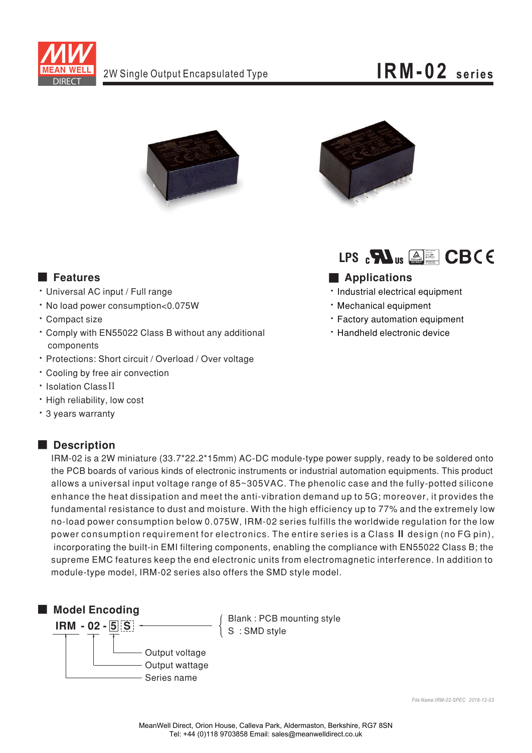

### $IRM-02$  series





LPS  $_{c}\mathbf{H}$ <sub>us</sub>  $\triangle\equiv$  CBCE

### Applications

- · Industrial electrical equipment
- · Mechanical equipment
- \* Factory automation equipment
- · Handheld electronic device

### **Executer** Features

- · Universal AC input / Full range
- · No load power consumption<0.075W
- · Compact size
- \* Comply with EN55022 Class B without any additional components
- \* Protections: Short circuit / Overload / Over voltage
- Cooling by free air convection
- · Isolation Class II
- · High reliability, low cost
- \* 3 years warranty

#### Description

IRM-02 is a 2W miniature (33.7\*22.2\*15mm) AC-DC module-type power supply, ready to be soldered onto the PCB boards of various kinds of electronic instruments or industrial automation equipments. This product allows a universal input voltage range of 85~305VAC. The phenolic case and the fully-potted silicone enhance the heat dissipation and meet the anti-vibration demand up to 5G; moreover, it provides the fundamental resistance to dust and moisture. With the high efficiency up to 77% and the extremely low no-load power consumption below 0.075W, IRM-02 series fulfills the worldwide regulation for the low power consumption requirement for electronics. The entire series is a Class II design (no FG pin), incorporating the built-in EMI filtering components, enabling the compliance with EN55022 Class B; the supreme EMC features keep the end electronic units from electromagnetic interference. In addition to module-type model, IRM-02 series also offers the SMD style model.



Blank: PCB mounting style<br>S: SMD style

File Name: IRM-02-SPEC 2016-12-03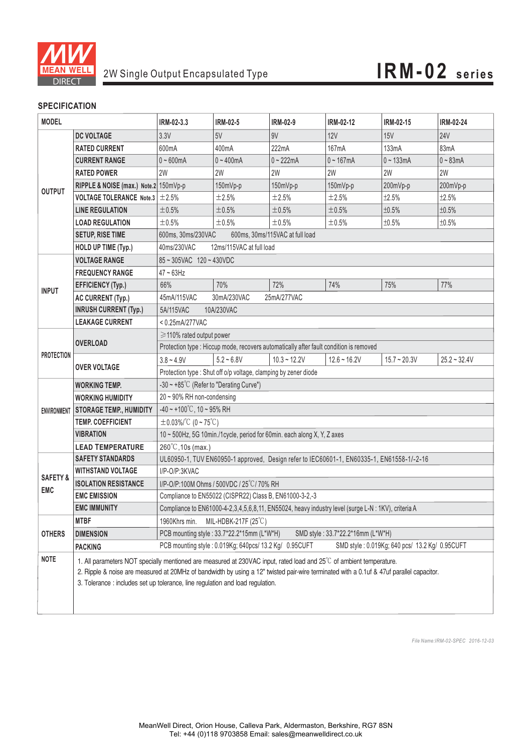

#### **SPECIFICATION**

| <b>MODEL</b>                      |                                                                                                                                                                                                                                                                                                                                                   | IRM-02-3.3                                                                                | <b>IRM-02-5</b>                                        | IRM-02-9       | <b>IRM-02-12</b> | IRM-02-15                                      | <b>IRM-02-24</b>  |
|-----------------------------------|---------------------------------------------------------------------------------------------------------------------------------------------------------------------------------------------------------------------------------------------------------------------------------------------------------------------------------------------------|-------------------------------------------------------------------------------------------|--------------------------------------------------------|----------------|------------------|------------------------------------------------|-------------------|
| <b>OUTPUT</b>                     | <b>DC VOLTAGE</b>                                                                                                                                                                                                                                                                                                                                 | 3.3V                                                                                      | 5V                                                     | 9V             | 12V              | <b>15V</b>                                     | <b>24V</b>        |
|                                   | <b>RATED CURRENT</b>                                                                                                                                                                                                                                                                                                                              | 600mA                                                                                     | 400 <sub>m</sub> A                                     | 222mA          | 167mA            | 133mA                                          | 83mA              |
|                                   | <b>CURRENT RANGE</b>                                                                                                                                                                                                                                                                                                                              | $0 - 600$ mA                                                                              | $0 - 400$ mA                                           | $0 - 222$ mA   | $0 - 167mA$      | $0 - 133mA$                                    | $0 - 83mA$        |
|                                   | <b>RATED POWER</b>                                                                                                                                                                                                                                                                                                                                | 2W                                                                                        | 2W                                                     | 2W             | 2W               | 2W                                             | 2W                |
|                                   | RIPPLE & NOISE (max.) Note.2 150mVp-p                                                                                                                                                                                                                                                                                                             |                                                                                           | 150mVp-p                                               | 150mVp-p       | 150mVp-p         | 200mVp-p                                       | 200mVp-p          |
|                                   | <b>VOLTAGE TOLERANCE</b> Note.3 $\pm$ 2.5%                                                                                                                                                                                                                                                                                                        |                                                                                           | $\pm 2.5\%$                                            | ±2.5%          | ±2.5%            | ±2.5%                                          | ±2.5%             |
|                                   | <b>LINE REGULATION</b>                                                                                                                                                                                                                                                                                                                            | ±0.5%                                                                                     | ±0.5%                                                  | ±0.5%          | ±0.5%            | ±0.5%                                          | ±0.5%             |
|                                   | <b>LOAD REGULATION</b>                                                                                                                                                                                                                                                                                                                            | ±0.5%                                                                                     | ±0.5%                                                  | ±0.5%          | ±0.5%            | ±0.5%                                          | ±0.5%             |
|                                   | <b>SETUP, RISE TIME</b>                                                                                                                                                                                                                                                                                                                           | 600ms, 30ms/230VAC<br>600ms, 30ms/115VAC at full load                                     |                                                        |                |                  |                                                |                   |
|                                   | HOLD UP TIME (Typ.)                                                                                                                                                                                                                                                                                                                               | 12ms/115VAC at full load<br>40ms/230VAC                                                   |                                                        |                |                  |                                                |                   |
| <b>INPUT</b>                      | <b>VOLTAGE RANGE</b>                                                                                                                                                                                                                                                                                                                              | 85~305VAC 120~430VDC                                                                      |                                                        |                |                  |                                                |                   |
|                                   | <b>FREQUENCY RANGE</b>                                                                                                                                                                                                                                                                                                                            | $47 \sim 63$ Hz                                                                           |                                                        |                |                  |                                                |                   |
|                                   | <b>EFFICIENCY (Typ.)</b>                                                                                                                                                                                                                                                                                                                          | 66%                                                                                       | 70%                                                    | 72%            | 74%              | 75%                                            | 77%               |
|                                   | <b>AC CURRENT (Typ.)</b>                                                                                                                                                                                                                                                                                                                          | 45mA/115VAC<br>30mA/230VAC<br>25mA/277VAC                                                 |                                                        |                |                  |                                                |                   |
|                                   | <b>INRUSH CURRENT (Typ.)</b>                                                                                                                                                                                                                                                                                                                      | 5A/115VAC<br>10A/230VAC                                                                   |                                                        |                |                  |                                                |                   |
|                                   | <b>LEAKAGE CURRENT</b>                                                                                                                                                                                                                                                                                                                            | $< 0.25$ mA/277VAC                                                                        |                                                        |                |                  |                                                |                   |
| <b>PROTECTION</b>                 | <b>OVERLOAD</b>                                                                                                                                                                                                                                                                                                                                   | ≥110% rated output power                                                                  |                                                        |                |                  |                                                |                   |
|                                   |                                                                                                                                                                                                                                                                                                                                                   | Protection type : Hiccup mode, recovers automatically after fault condition is removed    |                                                        |                |                  |                                                |                   |
|                                   |                                                                                                                                                                                                                                                                                                                                                   | $3.8 - 4.9V$                                                                              | $5.2 - 6.8V$                                           | $10.3 - 12.2V$ | $12.6 - 16.2V$   | $15.7 - 20.3V$                                 | $25.2 \div 32.4V$ |
|                                   | <b>OVER VOLTAGE</b>                                                                                                                                                                                                                                                                                                                               | Protection type : Shut off o/p voltage, clamping by zener diode                           |                                                        |                |                  |                                                |                   |
| <b>ENVIRONMENT</b>                | <b>WORKING TEMP.</b>                                                                                                                                                                                                                                                                                                                              | $-30 \sim +85^{\circ}$ C (Refer to "Derating Curve")                                      |                                                        |                |                  |                                                |                   |
|                                   | <b>WORKING HUMIDITY</b>                                                                                                                                                                                                                                                                                                                           | 20~90% RH non-condensing                                                                  |                                                        |                |                  |                                                |                   |
|                                   | <b>STORAGE TEMP., HUMIDITY</b>                                                                                                                                                                                                                                                                                                                    | $-40 \sim +100^{\circ}$ C, 10 ~ 95% RH                                                    |                                                        |                |                  |                                                |                   |
|                                   | <b>TEMP. COEFFICIENT</b>                                                                                                                                                                                                                                                                                                                          | $\pm$ 0.03%/°C (0~75°C)                                                                   |                                                        |                |                  |                                                |                   |
|                                   | <b>VIBRATION</b>                                                                                                                                                                                                                                                                                                                                  | 10 ~ 500Hz, 5G 10min./1cycle, period for 60min. each along X, Y, Z axes                   |                                                        |                |                  |                                                |                   |
|                                   | <b>LEAD TEMPERATURE</b>                                                                                                                                                                                                                                                                                                                           | 260°C, 10s (max.)                                                                         |                                                        |                |                  |                                                |                   |
| <b>SAFETY &amp;</b><br><b>EMC</b> | <b>SAFETY STANDARDS</b>                                                                                                                                                                                                                                                                                                                           | UL60950-1, TUV EN60950-1 approved, Design refer to IEC60601-1, EN60335-1, EN61558-1/-2-16 |                                                        |                |                  |                                                |                   |
|                                   | <b>WITHSTAND VOLTAGE</b>                                                                                                                                                                                                                                                                                                                          | I/P-O/P:3KVAC                                                                             |                                                        |                |                  |                                                |                   |
|                                   | <b>ISOLATION RESISTANCE</b>                                                                                                                                                                                                                                                                                                                       | I/P-O/P:100M Ohms / 500VDC / 25°C/70% RH                                                  |                                                        |                |                  |                                                |                   |
|                                   | <b>EMC EMISSION</b>                                                                                                                                                                                                                                                                                                                               | Compliance to EN55022 (CISPR22) Class B, EN61000-3-2,-3                                   |                                                        |                |                  |                                                |                   |
|                                   | <b>EMC IMMUNITY</b><br>Compliance to EN61000-4-2,3,4,5,6,8,11, EN55024, heavy industry level (surge L-N : 1KV), criteria A                                                                                                                                                                                                                        |                                                                                           |                                                        |                |                  |                                                |                   |
| <b>OTHERS</b>                     | <b>MTBF</b>                                                                                                                                                                                                                                                                                                                                       | 1960Khrs min.<br>MIL-HDBK-217F $(25^{\circ}C)$                                            |                                                        |                |                  |                                                |                   |
|                                   | <b>DIMENSION</b>                                                                                                                                                                                                                                                                                                                                  | PCB mounting style: 33.7*22.2*15mm (L*W*H)<br>SMD style: 33.7*22.2*16mm (L*W*H)           |                                                        |                |                  |                                                |                   |
|                                   | <b>PACKING</b>                                                                                                                                                                                                                                                                                                                                    |                                                                                           | PCB mounting style: 0.019Kg; 640pcs/ 13.2 Kg/ 0.95CUFT |                |                  | SMD style: 0.019Kg; 640 pcs/ 13.2 Kg/ 0.95CUFT |                   |
| <b>NOTE</b>                       | 1. All parameters NOT specially mentioned are measured at 230VAC input, rated load and 25°C of ambient temperature.<br>2. Ripple & noise are measured at 20MHz of bandwidth by using a 12" twisted pair-wire terminated with a 0.1uf & 47uf parallel capacitor.<br>3. Tolerance : includes set up tolerance, line regulation and load regulation. |                                                                                           |                                                        |                |                  |                                                |                   |

*File Name:IRM-02-SPEC 2016-12-03*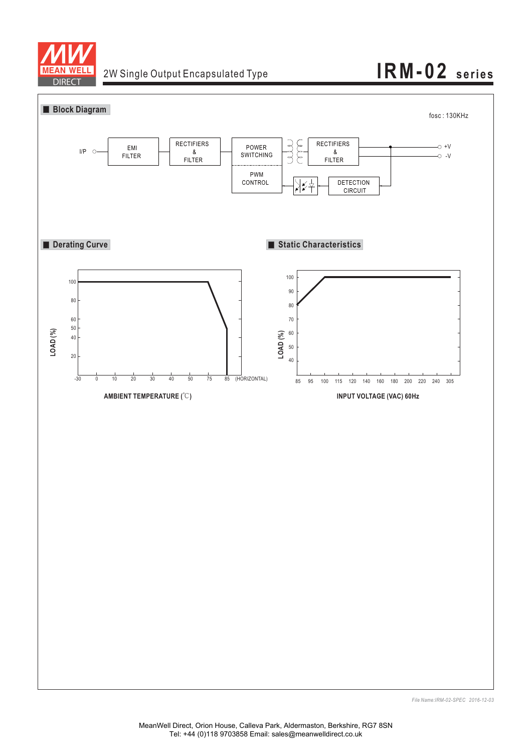

## 2W Single Output Encapsulated Type **IRM-02 series**



*File Name:IRM-02-SPEC 2016-12-03*